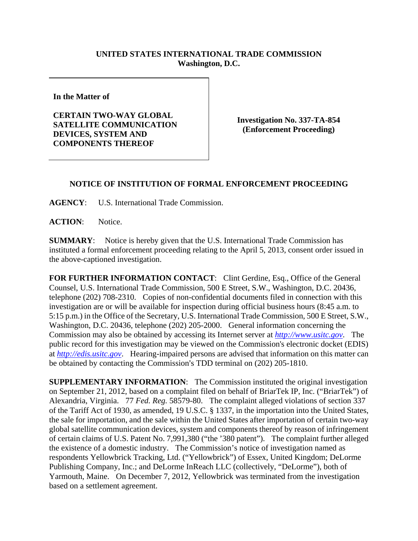## **UNITED STATES INTERNATIONAL TRADE COMMISSION Washington, D.C.**

**In the Matter of** 

## **CERTAIN TWO-WAY GLOBAL SATELLITE COMMUNICATION DEVICES, SYSTEM AND COMPONENTS THEREOF**

**Investigation No. 337-TA-854 (Enforcement Proceeding)** 

## **NOTICE OF INSTITUTION OF FORMAL ENFORCEMENT PROCEEDING**

**AGENCY**: U.S. International Trade Commission.

**ACTION**: Notice.

**SUMMARY**: Notice is hereby given that the U.S. International Trade Commission has instituted a formal enforcement proceeding relating to the April 5, 2013, consent order issued in the above-captioned investigation.

FOR FURTHER INFORMATION CONTACT: Clint Gerdine, Esq., Office of the General Counsel, U.S. International Trade Commission, 500 E Street, S.W., Washington, D.C. 20436, telephone (202) 708-2310. Copies of non-confidential documents filed in connection with this investigation are or will be available for inspection during official business hours (8:45 a.m. to 5:15 p.m.) in the Office of the Secretary, U.S. International Trade Commission, 500 E Street, S.W., Washington, D.C. 20436, telephone (202) 205-2000. General information concerning the Commission may also be obtained by accessing its Internet server at *http://www.usitc.gov*. The public record for this investigation may be viewed on the Commission's electronic docket (EDIS) at *http://edis.usitc.gov*. Hearing-impaired persons are advised that information on this matter can be obtained by contacting the Commission's TDD terminal on (202) 205-1810.

**SUPPLEMENTARY INFORMATION**: The Commission instituted the original investigation on September 21, 2012, based on a complaint filed on behalf of BriarTek IP, Inc. ("BriarTek") of Alexandria, Virginia. 77 *Fed. Reg.* 58579-80. The complaint alleged violations of section 337 of the Tariff Act of 1930, as amended, 19 U.S.C. § 1337, in the importation into the United States, the sale for importation, and the sale within the United States after importation of certain two-way global satellite communication devices, system and components thereof by reason of infringement of certain claims of U.S. Patent No. 7,991,380 ("the '380 patent"). The complaint further alleged the existence of a domestic industry. The Commission's notice of investigation named as respondents Yellowbrick Tracking, Ltd. ("Yellowbrick") of Essex, United Kingdom; DeLorme Publishing Company, Inc.; and DeLorme InReach LLC (collectively, "DeLorme"), both of Yarmouth, Maine. On December 7, 2012, Yellowbrick was terminated from the investigation based on a settlement agreement.